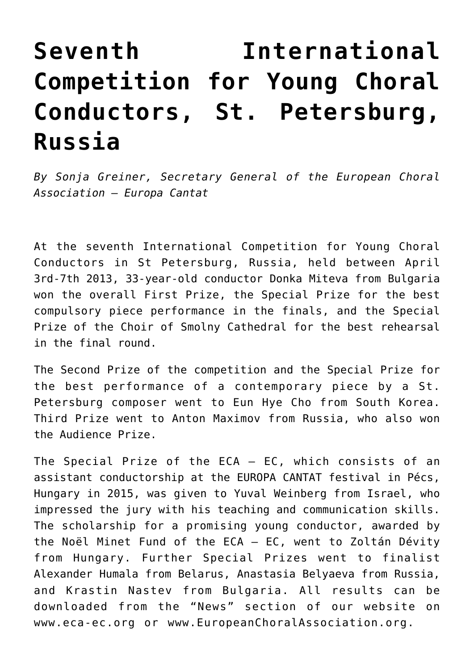## **[Seventh International](http://icb.ifcm.net/ru_RU/seventh-international-competition-young-choral-conductors/) [Competition for Young Choral](http://icb.ifcm.net/ru_RU/seventh-international-competition-young-choral-conductors/) [Conductors, St. Petersburg,](http://icb.ifcm.net/ru_RU/seventh-international-competition-young-choral-conductors/) [Russia](http://icb.ifcm.net/ru_RU/seventh-international-competition-young-choral-conductors/)**

*By Sonja Greiner, Secretary General of the European Choral Association – Europa Cantat*

At the seventh International Competition for Young Choral Conductors in St Petersburg, Russia, held between April 3rd-7th 2013, 33-year-old conductor Donka Miteva from Bulgaria won the overall First Prize, the Special Prize for the best compulsory piece performance in the finals, and the Special Prize of the Choir of Smolny Cathedral for the best rehearsal in the final round.

The Second Prize of the competition and the Special Prize for the best performance of a contemporary piece by a St. Petersburg composer went to Eun Hye Cho from South Korea. Third Prize went to Anton Maximov from Russia, who also won the Audience Prize.

The Special Prize of the ECA – EC, which consists of an assistant conductorship at the EUROPA CANTAT festival in Pécs, Hungary in 2015, was given to Yuval Weinberg from Israel, who impressed the jury with his teaching and communication skills. The scholarship for a promising young conductor, awarded by the Noël Minet Fund of the ECA – EC, went to Zoltán Dévity from Hungary. Further Special Prizes went to finalist Alexander Humala from Belarus, Anastasia Belyaeva from Russia, and Krastin Nastev from Bulgaria. All results can be downloaded from the "News" section of our website on [www.eca-ec.org](http://www.eca-ec.org/) or [www.EuropeanChoralAssociation.org.](http://www.EuropeanChoralAssociation.org/)